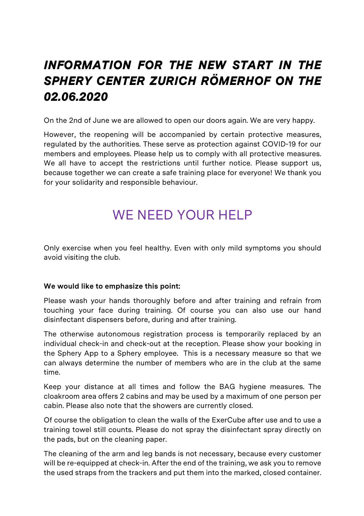## *INFORMATION FOR THE NEW START IN THE SPHERY CENTER ZURICH RÖMERHOF ON THE 02.06.2020*

On the 2nd of June we are allowed to open our doors again. We are very happy.

However, the reopening will be accompanied by certain protective measures, regulated by the authorities. These serve as protection against COVID-19 for our members and employees. Please help us to comply with all protective measures. We all have to accept the restrictions until further notice. Please support us, because together we can create a safe training place for everyone! We thank you for your solidarity and responsible behaviour.

## WE NEED YOUR HELP

Only exercise when you feel healthy. Even with only mild symptoms you should avoid visiting the club.

#### **We would like to emphasize this point:**

Please wash your hands thoroughly before and after training and refrain from touching your face during training. Of course you can also use our hand disinfectant dispensers before, during and after training.

The otherwise autonomous registration process is temporarily replaced by an individual check-in and check-out at the reception. Please show your booking in the Sphery App to a Sphery employee. This is a necessary measure so that we can always determine the number of members who are in the club at the same time.

Keep your distance at all times and follow the BAG hygiene measures. The cloakroom area offers 2 cabins and may be used by a maximum of one person per cabin. Please also note that the showers are currently closed.

Of course the obligation to clean the walls of the ExerCube after use and to use a training towel still counts. Please do not spray the disinfectant spray directly on the pads, but on the cleaning paper.

The cleaning of the arm and leg bands is not necessary, because every customer will be re-equipped at check-in. After the end of the training, we ask you to remove the used straps from the trackers and put them into the marked, closed container.